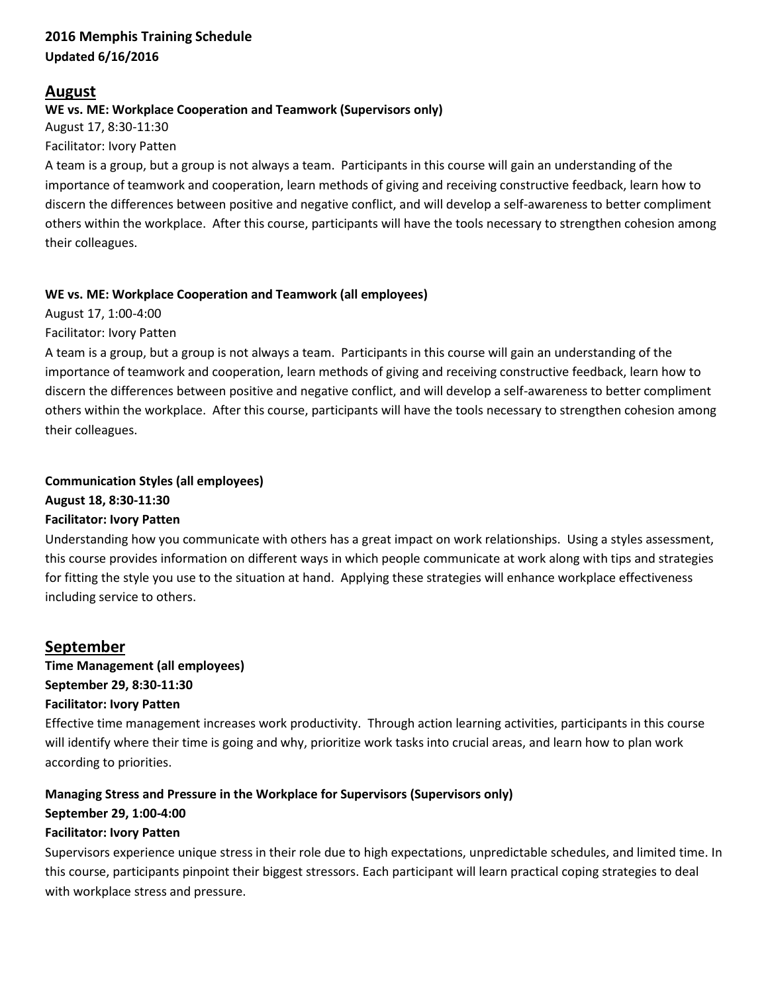## **2016 Memphis Training Schedule Updated 6/16/2016**

# **August**

## **WE vs. ME: Workplace Cooperation and Teamwork (Supervisors only)**

August 17, 8:30-11:30 Facilitator: Ivory Patten

A team is a group, but a group is not always a team. Participants in this course will gain an understanding of the importance of teamwork and cooperation, learn methods of giving and receiving constructive feedback, learn how to discern the differences between positive and negative conflict, and will develop a self-awareness to better compliment others within the workplace. After this course, participants will have the tools necessary to strengthen cohesion among their colleagues.

## **WE vs. ME: Workplace Cooperation and Teamwork (all employees)**

August 17, 1:00-4:00 Facilitator: Ivory Patten

A team is a group, but a group is not always a team. Participants in this course will gain an understanding of the importance of teamwork and cooperation, learn methods of giving and receiving constructive feedback, learn how to discern the differences between positive and negative conflict, and will develop a self-awareness to better compliment others within the workplace. After this course, participants will have the tools necessary to strengthen cohesion among their colleagues.

## **Communication Styles (all employees)**

**August 18, 8:30-11:30**

# **Facilitator: Ivory Patten**

Understanding how you communicate with others has a great impact on work relationships. Using a styles assessment, this course provides information on different ways in which people communicate at work along with tips and strategies for fitting the style you use to the situation at hand. Applying these strategies will enhance workplace effectiveness including service to others.

# **September**

**Time Management (all employees) September 29, 8:30-11:30 Facilitator: Ivory Patten**

Effective time management increases work productivity. Through action learning activities, participants in this course will identify where their time is going and why, prioritize work tasks into crucial areas, and learn how to plan work according to priorities.

# **Managing Stress and Pressure in the Workplace for Supervisors (Supervisors only)**

# **September 29, 1:00-4:00**

# **Facilitator: Ivory Patten**

Supervisors experience unique stress in their role due to high expectations, unpredictable schedules, and limited time. In this course, participants pinpoint their biggest stressors. Each participant will learn practical coping strategies to deal with workplace stress and pressure.